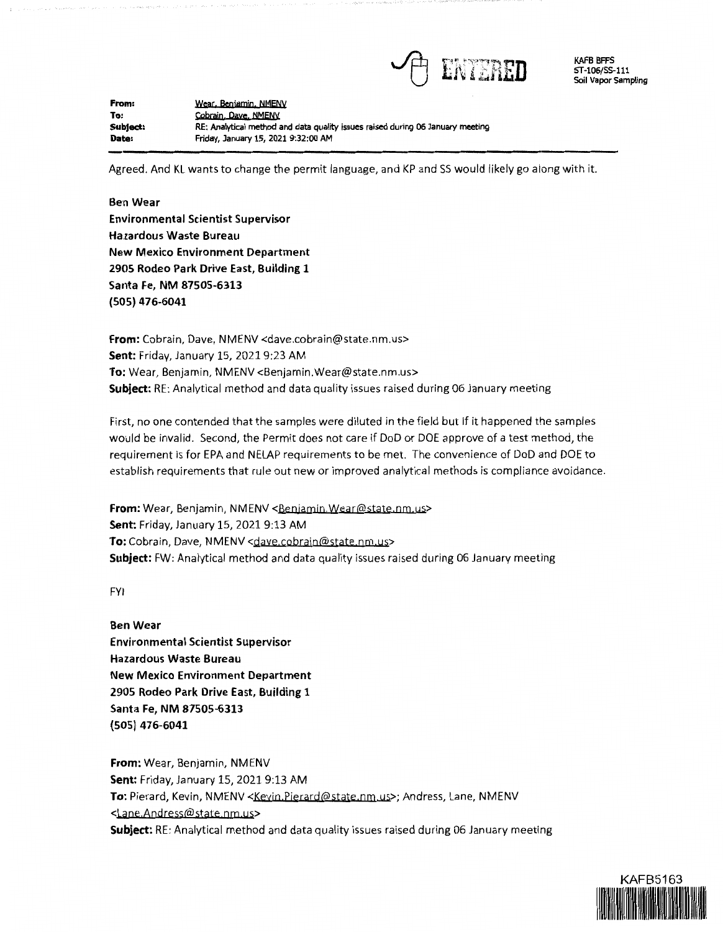

KAFB BFFS ST-106/SS-111 Soil Vapor Sampling

**From: To: Subject: Date:**  Wear, Beniamin, NMENV Cobrain, Dave, NMENV **RE: Analytical method and data quality issues raised** during **06 January meeting Friday, January 15, 2021 9:32:00 AM** 

Agreed. And KL wants to change the permit language, and KP and 55 would likely go along with it.

**Ben Wear Environmental Scientist Supervisor Ha.zardous Waste Bureau New Mexico Environment Department 2905 Rodeo Park Drive East, Building 1 Santa Fe, NM 87505-6313 (505) 476-6041** 

**From:** Cobrain, Dave, NMENV <dave.cobrain@state.nm.us> **Sent:** Friday, January 15, 2021 9:23 AM **To:** Wear, Benjamin, NMENV <Benjamin.Wear@state.nm.us> **Subject:** RE: Analytical method and data quality issues raised during 06 January meeting

First, no one contended that the samples were diluted in the field but if it happened the samples would be invalid. Second, the Permit does not care if DoD or DOE approve of a test method, the requirement is for EPA and NELAP requirements to be met. The convenience of DoD and DOE to establish requirements that rule out new or improved analytical methods is compliance avoidance.

**From:** Wear, Benjamin, NMENV <Benjamin.Wear@state.nm.us> **Sent:** Friday, January 15, 2021 9:13 AM To: Cobrain, Dave, NMENV <dave.cobrain@state.nm.us> **Subject:** FW: Analytical method and data quality issues raised during 06 January meeting

FYI

**Ben Wear Environmental Scientist Supervisor Hazardous Waste Bureau New Mexico Environment Department 2905 Rodeo Park Drive East, Building 1 Santa Fe, NM 87505-6313 (505) 476-6041** 

**From:** Wear, Benjamin, NMENV **Sent:** Friday, January 15, 2021 9:13 AM **To:** Pierard, Kevin, NMENV <Keyjn.Pierard@state.nm.us>; Andress, Lane, NMENV <Lane.Andress@state.nm.us> **Subject:** RE: Analytical method and data quality issues raised during 06 January meeting

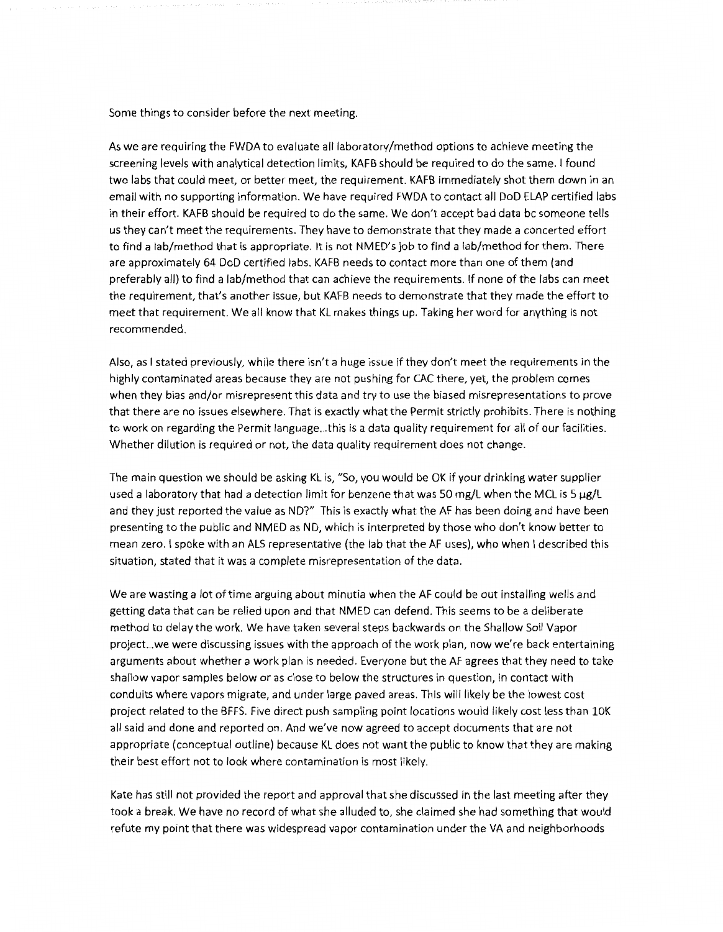Some things to consider before the next meeting.

As we are requiring the FWDA to evaluate all laboratory/method options to achieve meeting the screening levels with analytical detection limits, KAFB should be required to do the same. I found two labs that could meet, or better meet, the requirement. KAFB immediately shot them down in an email with no supporting information. We have required FWDA to contact all DoD ELAP certified labs in their effort. KAFB should be required to do the same. We don't accept bad data be someone tells us they can't meet the requirements. They have to demonstrate that they made a concerted effort to find a lab/method that is appropriate. It is not NMED's job to find a lab/method for them. There are approximately 64 DoD certified labs. KAFB needs to contact more than one of them (and preferably all) to find a lab/method that can achieve the requirements. If none of the labs can meet the requirement, that's another issue, but KAFB needs to demonstrate that they made the effort to meet that requirement. We all know that KL makes things up. Taking her word for anything is not recommended.

Also, as I stated previously, while there isn't a huge issue if they don't meet the requirements in the highly contaminated areas because they are not pushing for CAC there, yet, the problem comes when they bias and/or misrepresent this data and try to use the biased misrepresentations to prove that there are no issues elsewhere. That is exactly what the Permit strictly prohibits. There is nothing to work on regarding the Permit language ... this is a data quality requirement for all of our facilities. Whether dilution is required or not, the data quality requirement does not change.

The main question we should be asking KL is, "So, you would be OK if your drinking water supplier used a laboratory that had a detection limit for benzene that was 50 mg/L when the MCL is 5  $\mu$ g/L and they just reported the value as ND?" This is exactly what the AF has been doing and have been presenting to the public and NMED as ND, which is interpreted by those who don't know better to mean zero. I spoke with an ALS representative (the lab that the AF uses), who when I described this situation, stated that it was a complete misrepresentation of the data.

We are wasting a lot of time arguing about minutia when the AF could be out installing wells and getting data that can be relied upon and that NMED can defend. This seems to be a deliberate method to delay the work. We have taken several steps backwards on the Shallow Soil Vapor project...we were discussing issues with the approach of the work plan, now we're back entertaining arguments about whether a work plan is needed. Everyone but the AF agrees that they need to take shallow vapor samples below or as close to below the structures in question, in contact with conduits where vapors migrate, and under large paved areas. This will likely be the lowest cost project related to the BFFS. Five direct push sampling point locations would likely cost less than 10K all said and done and reported on. And *we've* now agreed to accept documents that are not appropriate (conceptual outline) because KL does not want the public to know that they are making their best effort not to look where contamination is most likely.

Kate has still not provided the report and approval that she discussed in the last meeting after they took a break. We have no record of what she alluded to, she claimed she had something that would refute my point that there was widespread vapor contamination under the VA and neighborhoods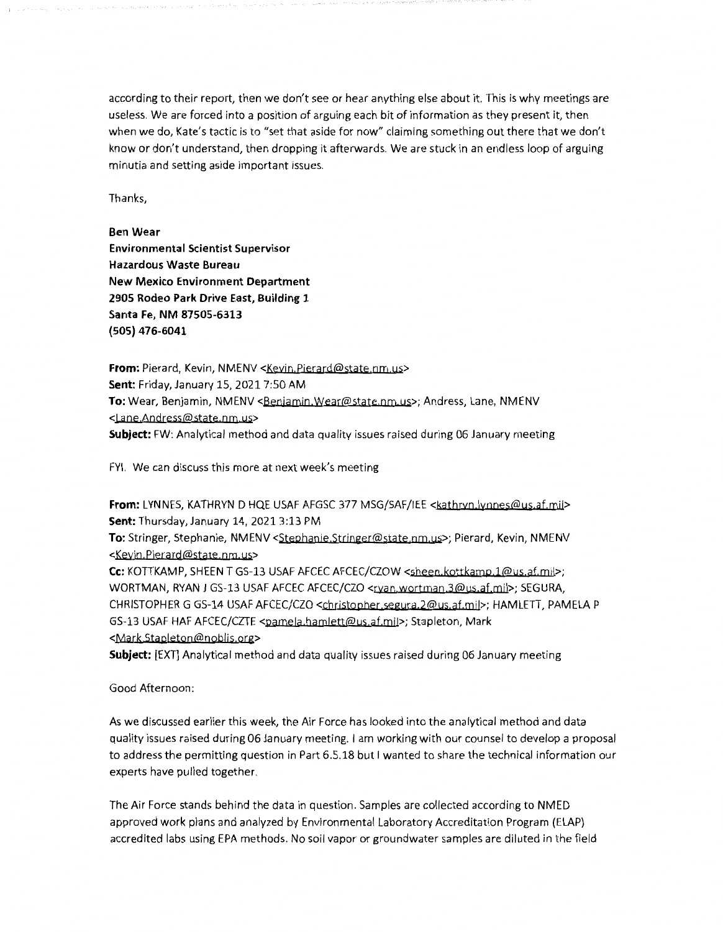according to their report, then we don't see or hear anything else about it. This is why meetings are useless. We are forced into a position of arguing each bit of information as they present it, then when we do, Kate's tactic is to "set that aside for now" claiming something out there that we don't know or don't understand, then dropping it afterwards. We are stuck in an endless loop of arguing minutia and setting aside important issues.

Thanks,

**Ben Wear Environmental Scientist Supervisor Hazardous Waste Bureau New Mexico Environment Department 2905 Rodeo Park Drive East, Building 1 Santa Fe, NM 87505-6313 (505) 476-6041** 

**From:** Pierard, Kevin, NMENV <Kevin, Pierard@state.nm.us> **Sent:** Friday, January 15, 2021 7:50 AM To: Wear, Benjamin, NMENV <Benjamin.Wear@state.nm.us>; Andress, Lane, NMENV <Lane Andress@state nm,us> **Subject:** FW: Analytical method and data quality issues raised during 06 January meeting

FYI. We can discuss this more at next week's meeting

From: LYNNES, KATHRYN D HQE USAF AFGSC 377 MSG/SAF/IEE <kathrvn.lynnes@us.af.mil> **Sent:** Thursday, January 14, 2021 3:13 PM **To:** Stringer, Stephanie, NMENV <Stephanje Strjnger@state nm us>; Pierard, Kevin, NMENV <Keyin Pierard@state.nm.us>

**Cc:** KOTTKAMP, SHEEN T GS-13 USAF AFCEC AFCEC/CZOW <sheen kottkamp **]@us** af mil>; WORTMAN, RYAN J GS-13 USAF AFCEC AFCEC/CZO <rxan,wortman,3@us.af.mil>; SEGURA, CHRISTOPHER G GS-14 USAF AFCEC/CZO <Christopher segura,2@us,af,mil>; HAMLETT, PAMELA P GS-13 USAF HAF AFCEC/CZTE <pamela hamlett@us.af.mil>; Stapleton, Mark <Mark.Stapleton@noblis.org>

**Subject:** [EXT] Analytical method and data quality issues raised during 06 January meeting

Good Afternoon:

As we discussed earlier this week, the Air Force has looked into the analytical method and data quality issues raised during 06 January meeting. I am working with our counsel to develop a proposal to address the permitting question in Part 6.5.18 but I wanted to share the technical information our experts have pulled together.

The Air Force stands behind the data in question. Samples are collected according to NMED approved work plans and analyzed by Environmental Laboratory Accreditation Program (ELAP) accredited labs using EPA methods. No soil vapor or groundwater samples are diluted in the field